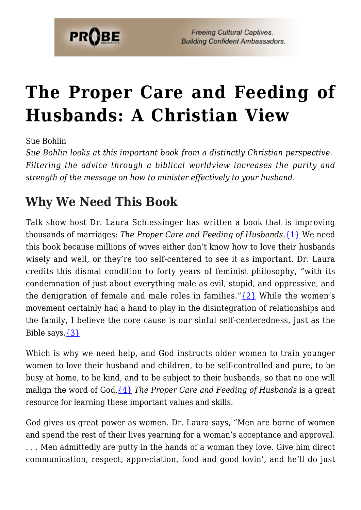

# **[The Proper Care and Feeding of](https://probe.org/the-proper-care-and-feeding-of-husbands/) [Husbands: A Christian View](https://probe.org/the-proper-care-and-feeding-of-husbands/)**

Sue Bohlin

*Sue Bohlin looks at this important book from a distinctly Christian perspective. Filtering the advice through a biblical worldview increases the purity and strength of the message on how to minister effectively to your husband.*

## **Why We Need This Book**

Talk show host Dr. Laura Schlessinger has written a book that is improving thousands of marriages: *The Proper Care and Feeding of Husbands.*[{1}](#page-8-0) We need this book because millions of wives either don't know how to love their husbands wisely and well, or they're too self-centered to see it as important. Dr. Laura credits this dismal condition to forty years of feminist philosophy, "with its condemnation of just about everything male as evil, stupid, and oppressive, and the denigration of female and male roles in families." $\{2\}$  While the women's movement certainly had a hand to play in the disintegration of relationships and the family, I believe the core cause is our sinful self-centeredness, just as the Bible says[.{3}](#page-8-2)

Which is why we need help, and God instructs older women to train younger women to love their husband and children, to be self-controlled and pure, to be busy at home, to be kind, and to be subject to their husbands, so that no one will malign the word of God[.{4}](#page-8-3) *The Proper Care and Feeding of Husbands* is a great resource for learning these important values and skills.

God gives us great power as women. Dr. Laura says, "Men are borne of women and spend the rest of their lives yearning for a woman's acceptance and approval. . . . Men admittedly are putty in the hands of a woman they love. Give him direct communication, respect, appreciation, food and good lovin', and he'll do just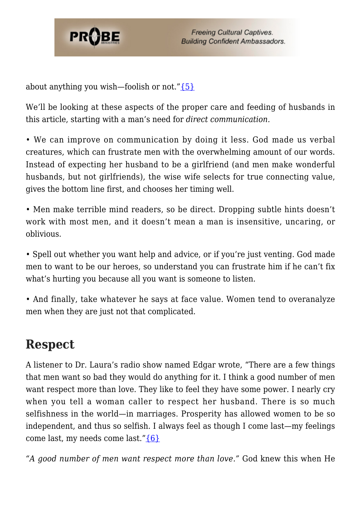

about anything you wish—foolish or not." $\{5\}$ 

We'll be looking at these aspects of the proper care and feeding of husbands in this article, starting with a man's need for *direct communication.*

• We can improve on communication by doing it less. God made us verbal creatures, which can frustrate men with the overwhelming amount of our words. Instead of expecting her husband to be a girlfriend (and men make wonderful husbands, but not girlfriends), the wise wife selects for true connecting value, gives the bottom line first, and chooses her timing well.

• Men make terrible mind readers, so be direct. Dropping subtle hints doesn't work with most men, and it doesn't mean a man is insensitive, uncaring, or oblivious.

• Spell out whether you want help and advice, or if you're just venting. God made men to want to be our heroes, so understand you can frustrate him if he can't fix what's hurting you because all you want is someone to listen.

• And finally, take whatever he says at face value. Women tend to overanalyze men when they are just not that complicated.

#### **Respect**

A listener to Dr. Laura's radio show named Edgar wrote, "There are a few things that men want so bad they would do anything for it. I think a good number of men want respect more than love. They like to feel they have some power. I nearly cry when you tell a woman caller to respect her husband. There is so much selfishness in the world—in marriages. Prosperity has allowed women to be so independent, and thus so selfish. I always feel as though I come last—my feelings come last, my needs come last." ${6}$ 

*"A good number of men want respect more than love."* God knew this when He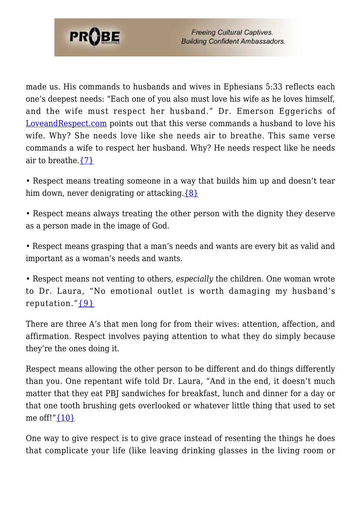

made us. His commands to husbands and wives in Ephesians 5:33 reflects each one's deepest needs: "Each one of you also must love his wife as he loves himself, and the wife must respect her husband." Dr. Emerson Eggerichs of [LoveandRespect.com](http://www.loveandrespect.com) points out that this verse commands a husband to love his wife. Why? She needs love like she needs air to breathe. This same verse commands a wife to respect her husband. Why? He needs respect like he needs air to breathe. $\{7\}$ 

• Respect means treating someone in a way that builds him up and doesn't tear him down, never denigrating or attacking. ${8}$ 

• Respect means always treating the other person with the dignity they deserve as a person made in the image of God.

• Respect means grasping that a man's needs and wants are every bit as valid and important as a woman's needs and wants.

• Respect means not venting to others, *especially* the children. One woman wrote to Dr. Laura, "No emotional outlet is worth damaging my husband's reputation." $\{9\}$ 

There are three A's that men long for from their wives: attention, affection, and affirmation. Respect involves paying attention to what they do simply because they're the ones doing it.

Respect means allowing the other person to be different and do things differently than you. One repentant wife told Dr. Laura, "And in the end, it doesn't much matter that they eat PBJ sandwiches for breakfast, lunch and dinner for a day or that one tooth brushing gets overlooked or whatever little thing that used to set me off!" {10}

One way to give respect is to give grace instead of resenting the things he does that complicate your life (like leaving drinking glasses in the living room or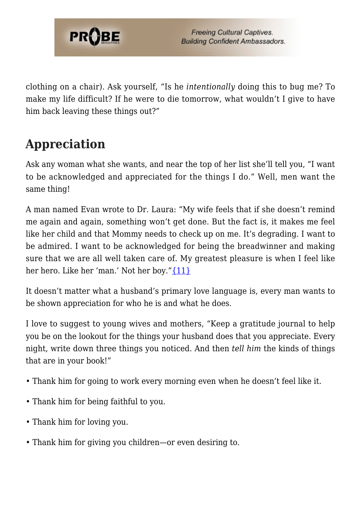

clothing on a chair). Ask yourself, "Is he *intentionally* doing this to bug me? To make my life difficult? If he were to die tomorrow, what wouldn't I give to have him back leaving these things out?"

# **Appreciation**

Ask any woman what she wants, and near the top of her list she'll tell you, "I want to be acknowledged and appreciated for the things I do." Well, men want the same thing!

A man named Evan wrote to Dr. Laura: "My wife feels that if she doesn't remind me again and again, something won't get done. But the fact is, it makes me feel like her child and that Mommy needs to check up on me. It's degrading. I want to be admired. I want to be acknowledged for being the breadwinner and making sure that we are all well taken care of. My greatest pleasure is when I feel like her hero. Like her 'man.' Not her boy." {11}

It doesn't matter what a husband's primary love language is, every man wants to be shown appreciation for who he is and what he does.

I love to suggest to young wives and mothers, "Keep a gratitude journal to help you be on the lookout for the things your husband does that you appreciate. Every night, write down three things you noticed. And then *tell him* the kinds of things that are in your book!"

- Thank him for going to work every morning even when he doesn't feel like it.
- Thank him for being faithful to you.
- Thank him for loving you.
- Thank him for giving you children—or even desiring to.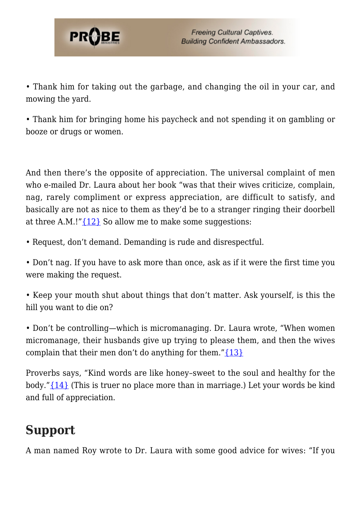

• Thank him for taking out the garbage, and changing the oil in your car, and mowing the yard.

• Thank him for bringing home his paycheck and not spending it on gambling or booze or drugs or women.

And then there's the opposite of appreciation. The universal complaint of men who e-mailed Dr. Laura about her book "was that their wives criticize, complain, nag, rarely compliment or express appreciation, are difficult to satisfy, and basically are not as nice to them as they'd be to a stranger ringing their doorbell at three A.M.!" $\{12\}$  So allow me to make some suggestions:

• Request, don't demand. Demanding is rude and disrespectful.

• Don't nag. If you have to ask more than once, ask as if it were the first time you were making the request.

• Keep your mouth shut about things that don't matter. Ask yourself, is this the hill you want to die on?

• Don't be controlling—which is micromanaging. Dr. Laura wrote, "When women micromanage, their husbands give up trying to please them, and then the wives complain that their men don't do anything for them." $\{13\}$ 

Proverbs says, "Kind words are like honey–sweet to the soul and healthy for the body." $\{14\}$  (This is truer no place more than in marriage.) Let your words be kind and full of appreciation.

### **Support**

A man named Roy wrote to Dr. Laura with some good advice for wives: "If you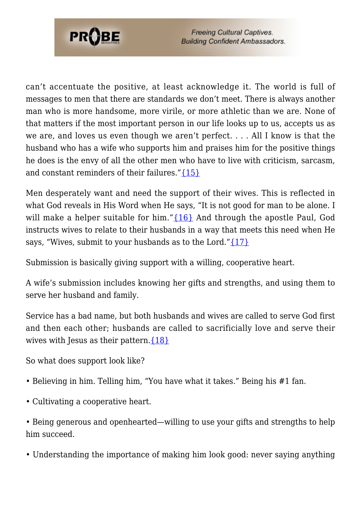

can't accentuate the positive, at least acknowledge it. The world is full of messages to men that there are standards we don't meet. There is always another man who is more handsome, more virile, or more athletic than we are. None of that matters if the most important person in our life looks up to us, accepts us as we are, and loves us even though we aren't perfect. . . . All I know is that the husband who has a wife who supports him and praises him for the positive things he does is the envy of all the other men who have to live with criticism, sarcasm, and constant reminders of their failures."[{15}](#page-8-14)

Men desperately want and need the support of their wives. This is reflected in what God reveals in His Word when He says, "It is not good for man to be alone. I will make a helper suitable for him."[{16}](#page-8-15) And through the apostle Paul, God instructs wives to relate to their husbands in a way that meets this need when He says, "Wives, submit to your husbands as to the Lord." $\{17\}$ 

Submission is basically giving support with a willing, cooperative heart.

A wife's submission includes knowing her gifts and strengths, and using them to serve her husband and family.

Service has a bad name, but both husbands and wives are called to serve God first and then each other; husbands are called to sacrificially love and serve their wives with Jesus as their pattern.  $\{18\}$ 

So what does support look like?

- Believing in him. Telling him, "You have what it takes." Being his #1 fan.
- Cultivating a cooperative heart.

• Being generous and openhearted—willing to use your gifts and strengths to help him succeed.

• Understanding the importance of making him look good: never saying anything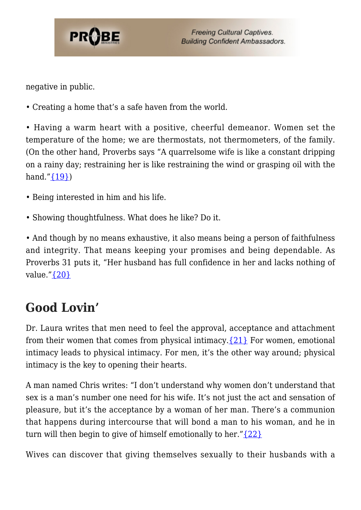

negative in public.

• Creating a home that's a safe haven from the world.

• Having a warm heart with a positive, cheerful demeanor. Women set the temperature of the home; we are thermostats, not thermometers, of the family. (On the other hand, Proverbs says "A quarrelsome wife is like a constant dripping on a rainy day; restraining her is like restraining the wind or grasping oil with the hand." $\{19\}$ )

- Being interested in him and his life.
- Showing thoughtfulness. What does he like? Do it.

• And though by no means exhaustive, it also means being a person of faithfulness and integrity. That means keeping your promises and being dependable. As Proverbs 31 puts it, "Her husband has full confidence in her and lacks nothing of value."[{20}](#page-8-19)

# **Good Lovin'**

Dr. Laura writes that men need to feel the approval, acceptance and attachment from their women that comes from physical intimacy.  $\{21\}$  For women, emotional intimacy leads to physical intimacy. For men, it's the other way around; physical intimacy is the key to opening their hearts.

A man named Chris writes: "I don't understand why women don't understand that sex is a man's number one need for his wife. It's not just the act and sensation of pleasure, but it's the acceptance by a woman of her man. There's a communion that happens during intercourse that will bond a man to his woman, and he in turn will then begin to give of himself emotionally to her." $\{22\}$ 

Wives can discover that giving themselves sexually to their husbands with a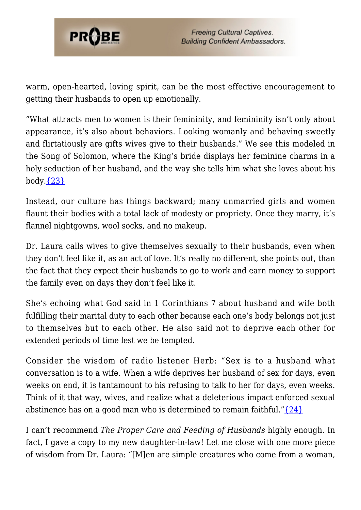

warm, open-hearted, loving spirit, can be the most effective encouragement to getting their husbands to open up emotionally.

"What attracts men to women is their femininity, and femininity isn't only about appearance, it's also about behaviors. Looking womanly and behaving sweetly and flirtatiously are gifts wives give to their husbands." We see this modeled in the Song of Solomon, where the King's bride displays her feminine charms in a holy seduction of her husband, and the way she tells him what she loves about his  $body.\{23\}$ 

Instead, our culture has things backward; many unmarried girls and women flaunt their bodies with a total lack of modesty or propriety. Once they marry, it's flannel nightgowns, wool socks, and no makeup.

Dr. Laura calls wives to give themselves sexually to their husbands, even when they don't feel like it, as an act of love. It's really no different, she points out, than the fact that they expect their husbands to go to work and earn money to support the family even on days they don't feel like it.

She's echoing what God said in 1 Corinthians 7 about husband and wife both fulfilling their marital duty to each other because each one's body belongs not just to themselves but to each other. He also said not to deprive each other for extended periods of time lest we be tempted.

Consider the wisdom of radio listener Herb: "Sex is to a husband what conversation is to a wife. When a wife deprives her husband of sex for days, even weeks on end, it is tantamount to his refusing to talk to her for days, even weeks. Think of it that way, wives, and realize what a deleterious impact enforced sexual abstinence has on a good man who is determined to remain faithful." $\{24\}$ 

I can't recommend *The Proper Care and Feeding of Husbands* highly enough. In fact, I gave a copy to my new daughter-in-law! Let me close with one more piece of wisdom from Dr. Laura: "[M]en are simple creatures who come from a woman,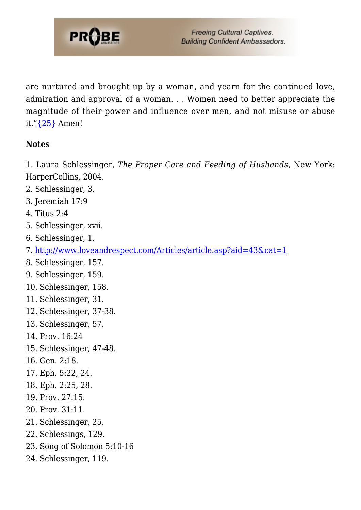

are nurtured and brought up by a woman, and yearn for the continued love, admiration and approval of a woman. . . Women need to better appreciate the magnitude of their power and influence over men, and not misuse or abuse it.["{25}](#page-8-24) Amen!

#### **Notes**

<span id="page-8-0"></span>1. Laura Schlessinger, *The Proper Care and Feeding of Husbands*, New York: HarperCollins, 2004.

- <span id="page-8-1"></span>2. Schlessinger, 3.
- <span id="page-8-2"></span>3. Jeremiah 17:9
- <span id="page-8-3"></span>4. Titus 2:4
- <span id="page-8-4"></span>5. Schlessinger, xvii.
- <span id="page-8-5"></span>6. Schlessinger, 1.
- <span id="page-8-6"></span>7. [http://www.loveandrespect.com/Articles/article.asp?aid=43&cat=1](http://www.loveandrespect.com/articles/article.asp?aid=43&cat=1)
- <span id="page-8-7"></span>8. Schlessinger, 157.
- <span id="page-8-8"></span>9. Schlessinger, 159.
- <span id="page-8-9"></span>10. Schlessinger, 158.
- <span id="page-8-10"></span>11. Schlessinger, 31.
- <span id="page-8-11"></span>12. Schlessinger, 37-38.
- <span id="page-8-12"></span>13. Schlessinger, 57.
- <span id="page-8-13"></span>14. Prov. 16:24
- <span id="page-8-14"></span>15. Schlessinger, 47-48.
- <span id="page-8-15"></span>16. Gen. 2:18.
- <span id="page-8-16"></span>17. Eph. 5:22, 24.
- <span id="page-8-17"></span>18. Eph. 2:25, 28.
- <span id="page-8-18"></span>19. Prov. 27:15.
- <span id="page-8-19"></span>20. Prov. 31:11.
- <span id="page-8-20"></span>21. Schlessinger, 25.
- <span id="page-8-21"></span>22. Schlessings, 129.
- <span id="page-8-22"></span>23. Song of Solomon 5:10-16
- <span id="page-8-24"></span><span id="page-8-23"></span>24. Schlessinger, 119.